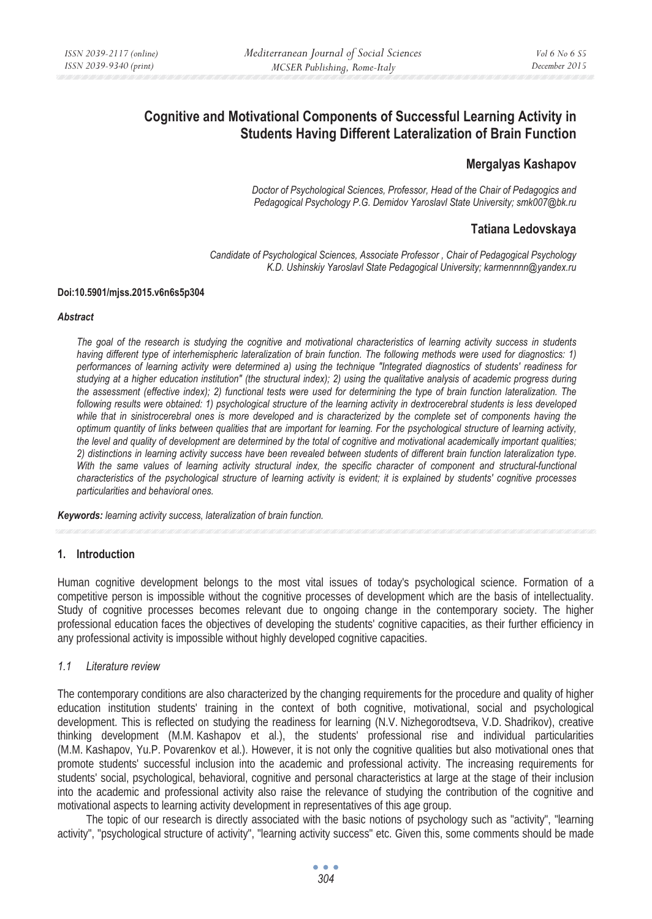# **Cognitive and Motivational Components of Successful Learning Activity in Students Having Different Lateralization of Brain Function**

### **Mergalyas Kashapov**

*Doctor of Psychological Sciences, Professor, Head of the Chair of Pedagogics and Pedagogical Psychology P.G. Demidov Yaroslavl State University; smk007@bk.ru* 

## **Tatiana Ledovskaya**

*Candidate of Psychological Sciences, Associate Professor , Chair of Pedagogical Psychology K.D. Ushinskiy Yaroslavl State Pedagogical University; karmennnn@yandex.ru* 

#### **Doi:10.5901/mjss.2015.v6n6s5p304**

#### *Abstract*

*The goal of the research is studying the cognitive and motivational characteristics of learning activity success in students having different type of interhemispheric lateralization of brain function. The following methods were used for diagnostics: 1) performances of learning activity were determined a) using the technique "Integrated diagnostics of students' readiness for studying at a higher education institution" (the structural index); 2) using the qualitative analysis of academic progress during the assessment (effective index); 2) functional tests were used for determining the type of brain function lateralization. The following results were obtained: 1) psychological structure of the learning activity in dextrocerebral students is less developed*  while that in sinistrocerebral ones is more developed and is characterized by the complete set of components having the *optimum quantity of links between qualities that are important for learning. For the psychological structure of learning activity, the level and quality of development are determined by the total of cognitive and motivational academically important qualities; 2) distinctions in learning activity success have been revealed between students of different brain function lateralization type.*  With the same values of learning activity structural index, the specific character of component and structural-functional *characteristics of the psychological structure of learning activity is evident; it is explained by students' cognitive processes particularities and behavioral ones.* 

*Keywords: learning activity success, lateralization of brain function.* 

#### **1. Introduction**

Human cognitive development belongs to the most vital issues of today's psychological science. Formation of a competitive person is impossible without the cognitive processes of development which are the basis of intellectuality. Study of cognitive processes becomes relevant due to ongoing change in the contemporary society. The higher professional education faces the objectives of developing the students' cognitive capacities, as their further efficiency in any professional activity is impossible without highly developed cognitive capacities.

#### *1.1 Literature review*

The contemporary conditions are also characterized by the changing requirements for the procedure and quality of higher education institution students' training in the context of both cognitive, motivational, social and psychological development. This is reflected on studying the readiness for learning (N.V. Nizhegorodtseva, V.D. Shadrikov), creative thinking development (M.M. Kashapov et al.), the students' professional rise and individual particularities (M.M. Kashapov, Yu.P. Povarenkov et al.). However, it is not only the cognitive qualities but also motivational ones that promote students' successful inclusion into the academic and professional activity. The increasing requirements for students' social, psychological, behavioral, cognitive and personal characteristics at large at the stage of their inclusion into the academic and professional activity also raise the relevance of studying the contribution of the cognitive and motivational aspects to learning activity development in representatives of this age group.

The topic of our research is directly associated with the basic notions of psychology such as "activity", "learning activity", "psychological structure of activity", "learning activity success" etc. Given this, some comments should be made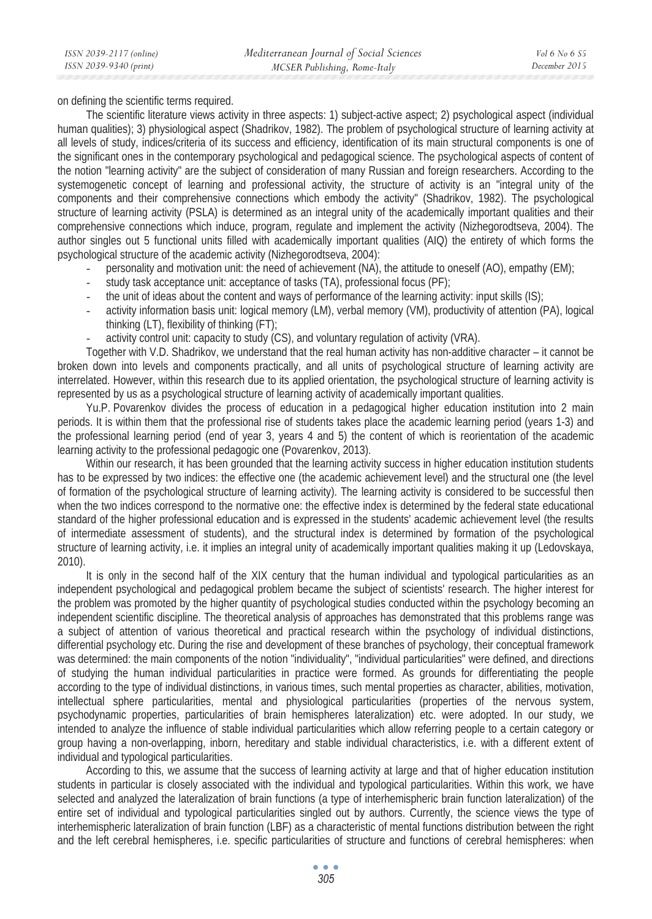on defining the scientific terms required.

The scientific literature views activity in three aspects: 1) subject-active aspect; 2) psychological aspect (individual human qualities); 3) physiological aspect (Shadrikov, 1982). The problem of psychological structure of learning activity at all levels of study, indices/criteria of its success and efficiency, identification of its main structural components is one of the significant ones in the contemporary psychological and pedagogical science. The psychological aspects of content of the notion "learning activity" are the subject of consideration of many Russian and foreign researchers. According to the systemogenetic concept of learning and professional activity, the structure of activity is an "integral unity of the components and their comprehensive connections which embody the activity" (Shadrikov, 1982). The psychological structure of learning activity (PSLA) is determined as an integral unity of the academically important qualities and their comprehensive connections which induce, program, regulate and implement the activity (Nizhegorodtseva, 2004). The author singles out 5 functional units filled with academically important qualities (AIQ) the entirety of which forms the psychological structure of the academic activity (Nizhegorodtseva, 2004):

- personality and motivation unit: the need of achievement (NA), the attitude to oneself (AO), empathy (EM);
- study task acceptance unit: acceptance of tasks (TA), professional focus (PF);
- the unit of ideas about the content and ways of performance of the learning activity: input skills (IS);
- activity information basis unit: logical memory (LM), verbal memory (VM), productivity of attention (PA), logical thinking (LT), flexibility of thinking (FT);
- activity control unit: capacity to study (CS), and voluntary regulation of activity (VRA).

Together with V.D. Shadrikov, we understand that the real human activity has non-additive character – it cannot be broken down into levels and components practically, and all units of psychological structure of learning activity are interrelated. However, within this research due to its applied orientation, the psychological structure of learning activity is represented by us as a psychological structure of learning activity of academically important qualities.

Yu.P. Povarenkov divides the process of education in a pedagogical higher education institution into 2 main periods. It is within them that the professional rise of students takes place the academic learning period (years 1-3) and the professional learning period (end of year 3, years 4 and 5) the content of which is reorientation of the academic learning activity to the professional pedagogic one (Povarenkov, 2013).

Within our research, it has been grounded that the learning activity success in higher education institution students has to be expressed by two indices: the effective one (the academic achievement level) and the structural one (the level of formation of the psychological structure of learning activity). The learning activity is considered to be successful then when the two indices correspond to the normative one: the effective index is determined by the federal state educational standard of the higher professional education and is expressed in the students' academic achievement level (the results of intermediate assessment of students), and the structural index is determined by formation of the psychological structure of learning activity, i.e. it implies an integral unity of academically important qualities making it up (Ledovskaya, 2010).

It is only in the second half of the XIX century that the human individual and typological particularities as an independent psychological and pedagogical problem became the subject of scientists' research. The higher interest for the problem was promoted by the higher quantity of psychological studies conducted within the psychology becoming an independent scientific discipline. The theoretical analysis of approaches has demonstrated that this problems range was a subject of attention of various theoretical and practical research within the psychology of individual distinctions, differential psychology etc. During the rise and development of these branches of psychology, their conceptual framework was determined: the main components of the notion "individuality", "individual particularities" were defined, and directions of studying the human individual particularities in practice were formed. As grounds for differentiating the people according to the type of individual distinctions, in various times, such mental properties as character, abilities, motivation, intellectual sphere particularities, mental and physiological particularities (properties of the nervous system, psychodynamic properties, particularities of brain hemispheres lateralization) etc. were adopted. In our study, we intended to analyze the influence of stable individual particularities which allow referring people to a certain category or group having a non-overlapping, inborn, hereditary and stable individual characteristics, i.e. with a different extent of individual and typological particularities.

According to this, we assume that the success of learning activity at large and that of higher education institution students in particular is closely associated with the individual and typological particularities. Within this work, we have selected and analyzed the lateralization of brain functions (a type of interhemispheric brain function lateralization) of the entire set of individual and typological particularities singled out by authors. Currently, the science views the type of interhemispheric lateralization of brain function (LBF) as a characteristic of mental functions distribution between the right and the left cerebral hemispheres, i.e. specific particularities of structure and functions of cerebral hemispheres: when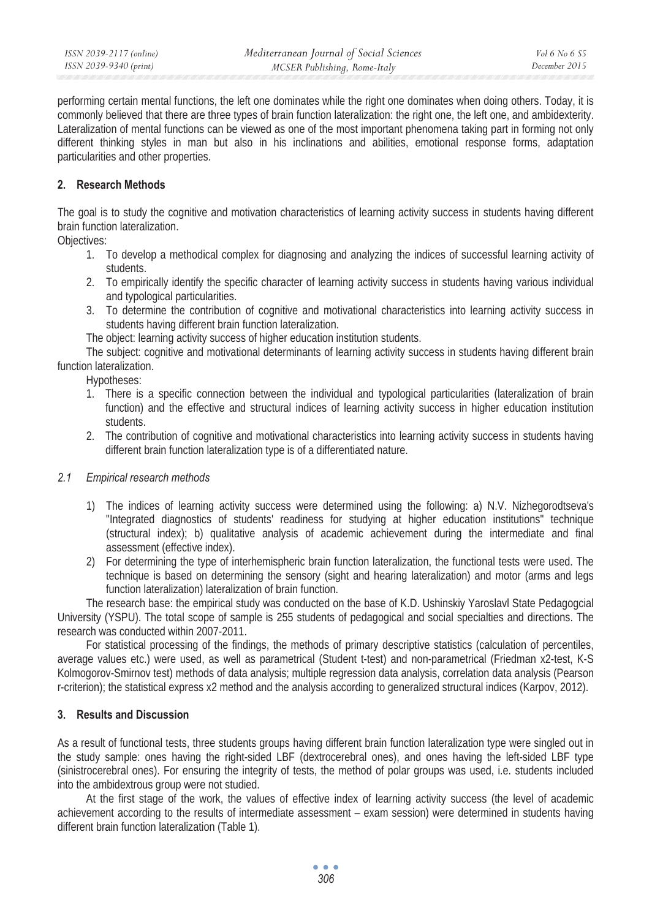performing certain mental functions, the left one dominates while the right one dominates when doing others. Today, it is commonly believed that there are three types of brain function lateralization: the right one, the left one, and ambidexterity. Lateralization of mental functions can be viewed as one of the most important phenomena taking part in forming not only different thinking styles in man but also in his inclinations and abilities, emotional response forms, adaptation particularities and other properties.

### **2. Research Methods**

The goal is to study the cognitive and motivation characteristics of learning activity success in students having different brain function lateralization.

Objectives:

- 1. To develop a methodical complex for diagnosing and analyzing the indices of successful learning activity of students.
- 2. To empirically identify the specific character of learning activity success in students having various individual and typological particularities.
- 3. To determine the contribution of cognitive and motivational characteristics into learning activity success in students having different brain function lateralization.
- The object: learning activity success of higher education institution students.

The subject: cognitive and motivational determinants of learning activity success in students having different brain function lateralization.

Hypotheses:

- 1. There is a specific connection between the individual and typological particularities (lateralization of brain function) and the effective and structural indices of learning activity success in higher education institution students.
- 2. The contribution of cognitive and motivational characteristics into learning activity success in students having different brain function lateralization type is of a differentiated nature.

#### *2.1 Empirical research methods*

- 1) The indices of learning activity success were determined using the following: a) N.V. Nizhegorodtseva's "Integrated diagnostics of students' readiness for studying at higher education institutions" technique (structural index); b) qualitative analysis of academic achievement during the intermediate and final assessment (effective index).
- 2) For determining the type of interhemispheric brain function lateralization, the functional tests were used. The technique is based on determining the sensory (sight and hearing lateralization) and motor (arms and legs function lateralization) lateralization of brain function.

The research base: the empirical study was conducted on the base of K.D. Ushinskiy Yaroslavl State Pedagogcial University (YSPU). The total scope of sample is 255 students of pedagogical and social specialties and directions. The research was conducted within 2007-2011.

For statistical processing of the findings, the methods of primary descriptive statistics (calculation of percentiles, average values etc.) were used, as well as parametrical (Student t-test) and non-parametrical (Friedman x2-test, K-S Kolmogorov-Smirnov test) methods of data analysis; multiple regression data analysis, correlation data analysis (Pearson r-criterion); the statistical express x2 method and the analysis according to generalized structural indices (Karpov, 2012).

# **3. Results and Discussion**

As a result of functional tests, three students groups having different brain function lateralization type were singled out in the study sample: ones having the right-sided LBF (dextrocerebral ones), and ones having the left-sided LBF type (sinistrocerebral ones). For ensuring the integrity of tests, the method of polar groups was used, i.e. students included into the ambidextrous group were not studied.

At the first stage of the work, the values of effective index of learning activity success (the level of academic achievement according to the results of intermediate assessment – exam session) were determined in students having different brain function lateralization (Table 1).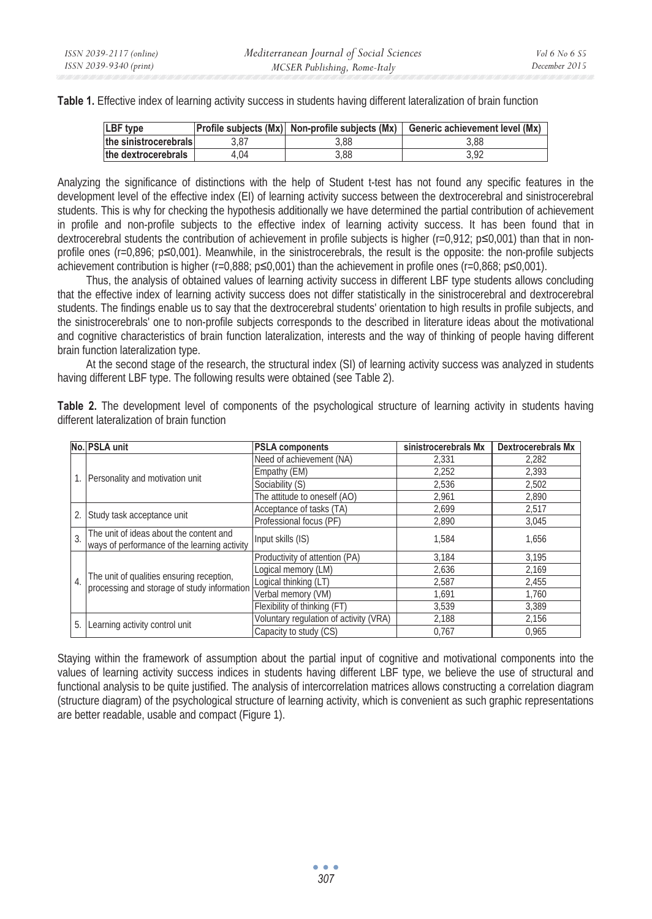**Table 1.** Effective index of learning activity success in students having different lateralization of brain function

| LBF type              |      | <b>Profile subjects (Mx)</b> Non-profile subjects (Mx) | Generic achievement level (Mx) |
|-----------------------|------|--------------------------------------------------------|--------------------------------|
| the sinistrocerebrals |      | 3.88                                                   | 3.88                           |
| the dextrocerebrals   | . 04 | 3.88                                                   |                                |

Analyzing the significance of distinctions with the help of Student t-test has not found any specific features in the development level of the effective index (EI) of learning activity success between the dextrocerebral and sinistrocerebral students. This is why for checking the hypothesis additionally we have determined the partial contribution of achievement in profile and non-profile subjects to the effective index of learning activity success. It has been found that in dextrocerebral students the contribution of achievement in profile subjects is higher (r=0,912; p $\leq 0.001$ ) than that in nonprofile ones ( $r=0.896$ ;  $p\leq 0.001$ ). Meanwhile, in the sinistrocerebrals, the result is the opposite; the non-profile subjects achievement contribution is higher (r=0,888;  $p\leq 0.001$ ) than the achievement in profile ones (r=0,868;  $p\leq 0.001$ ).

Thus, the analysis of obtained values of learning activity success in different LBF type students allows concluding that the effective index of learning activity success does not differ statistically in the sinistrocerebral and dextrocerebral students. The findings enable us to say that the dextrocerebral students' orientation to high results in profile subjects, and the sinistrocerebrals' one to non-profile subjects corresponds to the described in literature ideas about the motivational and cognitive characteristics of brain function lateralization, interests and the way of thinking of people having different brain function lateralization type.

At the second stage of the research, the structural index (SI) of learning activity success was analyzed in students having different LBF type. The following results were obtained (see Table 2).

|                | No. PSLA unit                                                                            | <b>PSLA components</b>                 | sinistrocerebrals Mx | Dextrocerebrals Mx |
|----------------|------------------------------------------------------------------------------------------|----------------------------------------|----------------------|--------------------|
|                | Personality and motivation unit                                                          | Need of achievement (NA)               | 2.331                | 2.282              |
|                |                                                                                          | Empathy (EM)                           | 2,252                | 2,393              |
|                |                                                                                          | Sociability (S)                        | 2,536                | 2,502              |
|                |                                                                                          | The attitude to oneself (AO)           | 2.961                | 2.890              |
| $\overline{2}$ | Study task acceptance unit                                                               | Acceptance of tasks (TA)               | 2.699                | 2,517              |
|                |                                                                                          | Professional focus (PF)                | 2.890                | 3,045              |
| $\overline{3}$ | The unit of ideas about the content and<br>ways of performance of the learning activity  | Input skills (IS)                      | 1.584                | 1.656              |
| 4.             | The unit of qualities ensuring reception,<br>processing and storage of study information | Productivity of attention (PA)         | 3.184                | 3.195              |
|                |                                                                                          | Logical memory (LM)                    | 2,636                | 2,169              |
|                |                                                                                          | Logical thinking (LT)                  | 2.587                | 2,455              |
|                |                                                                                          | Verbal memory (VM)                     | 1,691                | 1,760              |
|                |                                                                                          | Flexibility of thinking (FT)           | 3,539                | 3,389              |
| 5.             | Learning activity control unit                                                           | Voluntary regulation of activity (VRA) | 2,188                | 2,156              |
|                |                                                                                          | Capacity to study (CS)                 | 0.767                | 0.965              |

**Table 2.** The development level of components of the psychological structure of learning activity in students having different lateralization of brain function

Staying within the framework of assumption about the partial input of cognitive and motivational components into the values of learning activity success indices in students having different LBF type, we believe the use of structural and functional analysis to be quite justified. The analysis of intercorrelation matrices allows constructing a correlation diagram (structure diagram) of the psychological structure of learning activity, which is convenient as such graphic representations are better readable, usable and compact (Figure 1).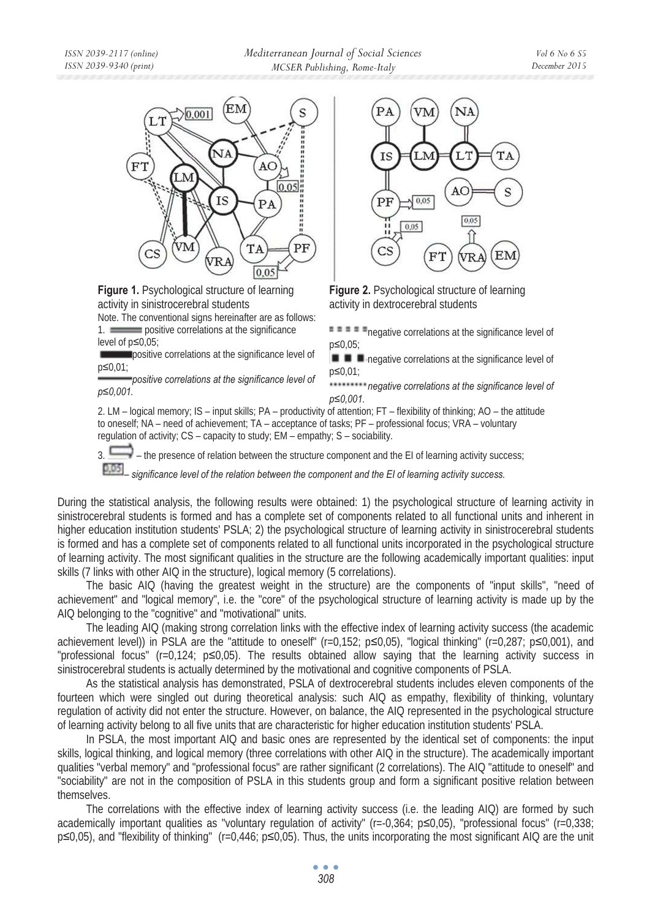*Mediterranean Journal of Social Sciences MCSER Publishing, Rome-Italy* 



**Figure 1.** Psychological structure of learning activity in sinistrocerebral students

Note. The conventional signs hereinafter are as follows: 1. **positive correlations at the significance** level of  $p \leq 0.05$ ;

positive correlations at the significance level of  $p \le 0,01$ ;

*positive correlations at the significance level of p*≤0,001.



**Figure 2.** Psychological structure of learning activity in dextrocerebral students

negative correlations at the significance level of  $p \le 0.05$ ;

 $\blacksquare$   $\blacksquare$  negative correlations at the significance level of  $p \le 0,01$ ;

*negative correlations at the significance level of*   $p$ ≤0,001

2. LM – logical memory; IS – input skills; PA – productivity of attention; FT – flexibility of thinking; AO – the attitude to oneself; NA – need of achievement; TA – acceptance of tasks; PF – professional focus; VRA – voluntary regulation of activity; CS – capacity to study; EM – empathy; S – sociability.

3.  $-$  – the presence of relation between the structure component and the EI of learning activity success;

0,05 *– significance level of the relation between the component and the EI of learning activity success.*

During the statistical analysis, the following results were obtained: 1) the psychological structure of learning activity in sinistrocerebral students is formed and has a complete set of components related to all functional units and inherent in higher education institution students' PSLA; 2) the psychological structure of learning activity in sinistrocerebral students is formed and has a complete set of components related to all functional units incorporated in the psychological structure of learning activity. The most significant qualities in the structure are the following academically important qualities: input skills (7 links with other AIQ in the structure), logical memory (5 correlations).

The basic AIQ (having the greatest weight in the structure) are the components of "input skills", "need of achievement" and "logical memory", i.e. the "core" of the psychological structure of learning activity is made up by the AIQ belonging to the "cognitive" and "motivational" units.

The leading AIQ (making strong correlation links with the effective index of learning activity success (the academic achievement level)) in PSLA are the "attitude to oneself" (r=0,152; p $\leq$ 0,05), "logical thinking" (r=0,287; p $\leq$ 0,001), and "professional focus" (r=0,124;  $p\leq 0.05$ ). The results obtained allow saying that the learning activity success in sinistrocerebral students is actually determined by the motivational and cognitive components of PSLA.

As the statistical analysis has demonstrated, PSLA of dextrocerebral students includes eleven components of the fourteen which were singled out during theoretical analysis: such AIQ as empathy, flexibility of thinking, voluntary regulation of activity did not enter the structure. However, on balance, the AIQ represented in the psychological structure of learning activity belong to all five units that are characteristic for higher education institution students' PSLA.

In PSLA, the most important AIQ and basic ones are represented by the identical set of components: the input skills, logical thinking, and logical memory (three correlations with other AIQ in the structure). The academically important qualities "verbal memory" and "professional focus" are rather significant (2 correlations). The AIQ "attitude to oneself" and "sociability" are not in the composition of PSLA in this students group and form a significant positive relation between themselves.

The correlations with the effective index of learning activity success (i.e. the leading AIQ) are formed by such academically important qualities as "voluntary regulation of activity" ( $r=-0.364$ ;  $p\leq 0.05$ ), "professional focus" ( $r=0.338$ ;  $p\leq 0.05$ ), and "flexibility of thinking" (r=0,446;  $p\leq 0.05$ ). Thus, the units incorporating the most significant AIQ are the unit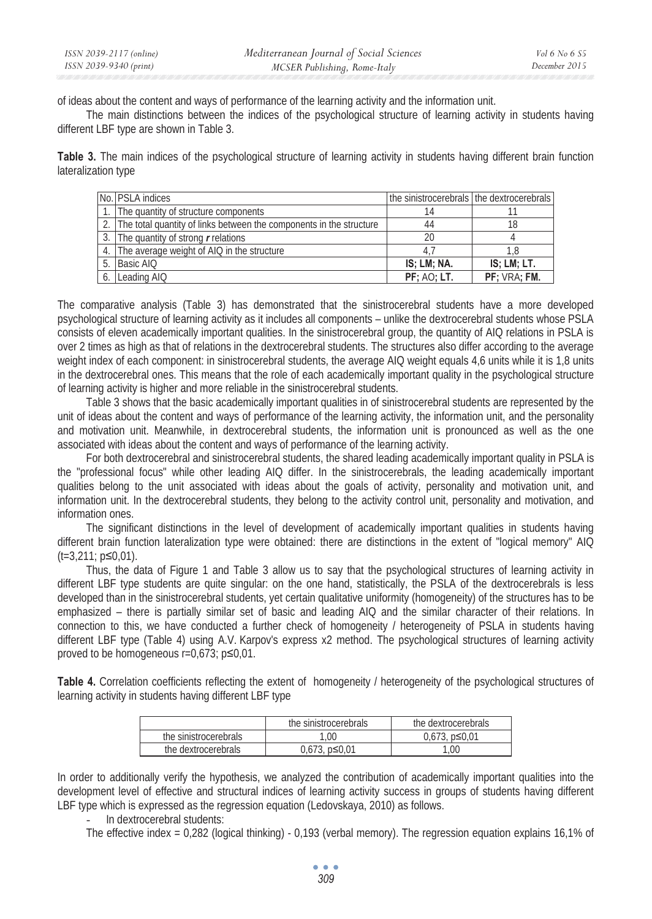of ideas about the content and ways of performance of the learning activity and the information unit.

The main distinctions between the indices of the psychological structure of learning activity in students having different LBF type are shown in Table 3.

**Table 3.** The main indices of the psychological structure of learning activity in students having different brain function lateralization type

| No. PSLA indices                                                       | the sinistrocerebrals the dextrocerebrals |              |
|------------------------------------------------------------------------|-------------------------------------------|--------------|
| 1. The quantity of structure components                                | 14                                        |              |
| 2. The total quantity of links between the components in the structure | 44                                        | 18           |
| 3. The quantity of strong r relations                                  | 20                                        |              |
| 4. The average weight of AIQ in the structure                          |                                           |              |
| 5. Basic AIQ                                                           | IS: LM: NA.                               | IS: LM: LT.  |
| Leading AIQ                                                            | <b>PF</b> ; AO; LT.                       | PF: VRA: FM. |

The comparative analysis (Table 3) has demonstrated that the sinistrocerebral students have a more developed psychological structure of learning activity as it includes all components – unlike the dextrocerebral students whose PSLA consists of eleven academically important qualities. In the sinistrocerebral group, the quantity of AIQ relations in PSLA is over 2 times as high as that of relations in the dextrocerebral students. The structures also differ according to the average weight index of each component: in sinistrocerebral students, the average AIQ weight equals 4,6 units while it is 1,8 units in the dextrocerebral ones. This means that the role of each academically important quality in the psychological structure of learning activity is higher and more reliable in the sinistrocerebral students.

Table 3 shows that the basic academically important qualities in of sinistrocerebral students are represented by the unit of ideas about the content and ways of performance of the learning activity, the information unit, and the personality and motivation unit. Meanwhile, in dextrocerebral students, the information unit is pronounced as well as the one associated with ideas about the content and ways of performance of the learning activity.

For both dextrocerebral and sinistrocerebral students, the shared leading academically important quality in PSLA is the "professional focus" while other leading AIQ differ. In the sinistrocerebrals, the leading academically important qualities belong to the unit associated with ideas about the goals of activity, personality and motivation unit, and information unit. In the dextrocerebral students, they belong to the activity control unit, personality and motivation, and information ones.

The significant distinctions in the level of development of academically important qualities in students having different brain function lateralization type were obtained: there are distinctions in the extent of "logical memory" AIQ  $(t=3,211; p\leq 0.01)$ .

Thus, the data of Figure 1 and Table 3 allow us to say that the psychological structures of learning activity in different LBF type students are quite singular: on the one hand, statistically, the PSLA of the dextrocerebrals is less developed than in the sinistrocerebral students, yet certain qualitative uniformity (homogeneity) of the structures has to be emphasized – there is partially similar set of basic and leading AIQ and the similar character of their relations. In connection to this, we have conducted a further check of homogeneity / heterogeneity of PSLA in students having different LBF type (Table 4) using A.V. Karpov's express x2 method. The psychological structures of learning activity proved to be homogeneous  $r=0.673$ ;  $p\leq0.01$ .

Table 4. Correlation coefficients reflecting the extent of homogeneity / heterogeneity of the psychological structures of learning activity in students having different LBF type

|                       | the sinistrocerebrals | the dextrocerebrals |
|-----------------------|-----------------------|---------------------|
| the sinistrocerebrals | 1.00                  | $0.673. p \le 0.01$ |
| the dextrocerebrals   | $p \le 0.01$          | .00                 |

In order to additionally verify the hypothesis, we analyzed the contribution of academically important qualities into the development level of effective and structural indices of learning activity success in groups of students having different LBF type which is expressed as the regression equation (Ledovskaya, 2010) as follows.

In dextrocerebral students:

The effective index = 0,282 (logical thinking) - 0,193 (verbal memory). The regression equation explains 16,1% of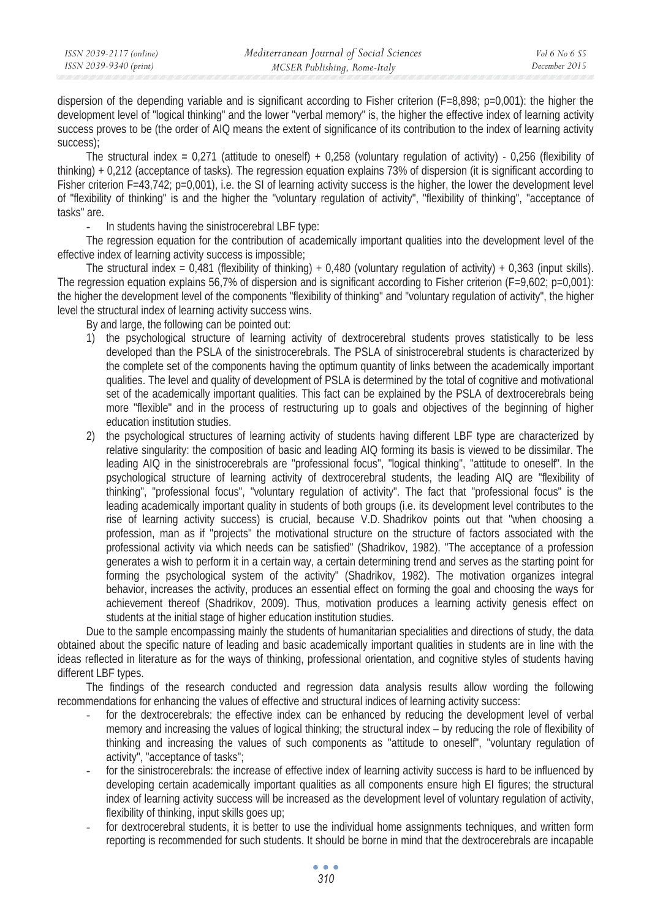dispersion of the depending variable and is significant according to Fisher criterion (F=8,898; p=0,001): the higher the development level of "logical thinking" and the lower "verbal memory" is, the higher the effective index of learning activity success proves to be (the order of AIQ means the extent of significance of its contribution to the index of learning activity success);

The structural index = 0,271 (attitude to oneself) + 0,258 (voluntary regulation of activity) - 0,256 (flexibility of thinking) + 0,212 (acceptance of tasks). The regression equation explains 73% of dispersion (it is significant according to Fisher criterion F=43,742; p=0,001), i.e. the SI of learning activity success is the higher, the lower the development level of "flexibility of thinking" is and the higher the "voluntary regulation of activity", "flexibility of thinking", "acceptance of tasks" are.

- In students having the sinistrocerebral LBF type:

The regression equation for the contribution of academically important qualities into the development level of the effective index of learning activity success is impossible;

The structural index = 0,481 (flexibility of thinking) + 0,480 (voluntary regulation of activity) + 0,363 (input skills). The regression equation explains 56,7% of dispersion and is significant according to Fisher criterion (F=9,602; p=0,001): the higher the development level of the components "flexibility of thinking" and "voluntary regulation of activity", the higher level the structural index of learning activity success wins.

By and large, the following can be pointed out:

- 1) the psychological structure of learning activity of dextrocerebral students proves statistically to be less developed than the PSLA of the sinistrocerebrals. The PSLA of sinistrocerebral students is characterized by the complete set of the components having the optimum quantity of links between the academically important qualities. The level and quality of development of PSLA is determined by the total of cognitive and motivational set of the academically important qualities. This fact can be explained by the PSLA of dextrocerebrals being more "flexible" and in the process of restructuring up to goals and objectives of the beginning of higher education institution studies.
- 2) the psychological structures of learning activity of students having different LBF type are characterized by relative singularity: the composition of basic and leading AIQ forming its basis is viewed to be dissimilar. The leading AIQ in the sinistrocerebrals are "professional focus", "logical thinking", "attitude to oneself". In the psychological structure of learning activity of dextrocerebral students, the leading AIQ are "flexibility of thinking", "professional focus", "voluntary regulation of activity". The fact that "professional focus" is the leading academically important quality in students of both groups (i.e. its development level contributes to the rise of learning activity success) is crucial, because V.D. Shadrikov points out that "when choosing a profession, man as if "projects" the motivational structure on the structure of factors associated with the professional activity via which needs can be satisfied" (Shadrikov, 1982). "The acceptance of a profession generates a wish to perform it in a certain way, a certain determining trend and serves as the starting point for forming the psychological system of the activity" (Shadrikov, 1982). The motivation organizes integral behavior, increases the activity, produces an essential effect on forming the goal and choosing the ways for achievement thereof (Shadrikov, 2009). Thus, motivation produces a learning activity genesis effect on students at the initial stage of higher education institution studies.

Due to the sample encompassing mainly the students of humanitarian specialities and directions of study, the data obtained about the specific nature of leading and basic academically important qualities in students are in line with the ideas reflected in literature as for the ways of thinking, professional orientation, and cognitive styles of students having different LBF types.

The findings of the research conducted and regression data analysis results allow wording the following recommendations for enhancing the values of effective and structural indices of learning activity success:

- for the dextrocerebrals: the effective index can be enhanced by reducing the development level of verbal memory and increasing the values of logical thinking; the structural index – by reducing the role of flexibility of thinking and increasing the values of such components as "attitude to oneself", "voluntary regulation of activity", "acceptance of tasks";
- for the sinistrocerebrals: the increase of effective index of learning activity success is hard to be influenced by developing certain academically important qualities as all components ensure high EI figures; the structural index of learning activity success will be increased as the development level of voluntary regulation of activity, flexibility of thinking, input skills goes up;
- for dextrocerebral students, it is better to use the individual home assignments techniques, and written form reporting is recommended for such students. It should be borne in mind that the dextrocerebrals are incapable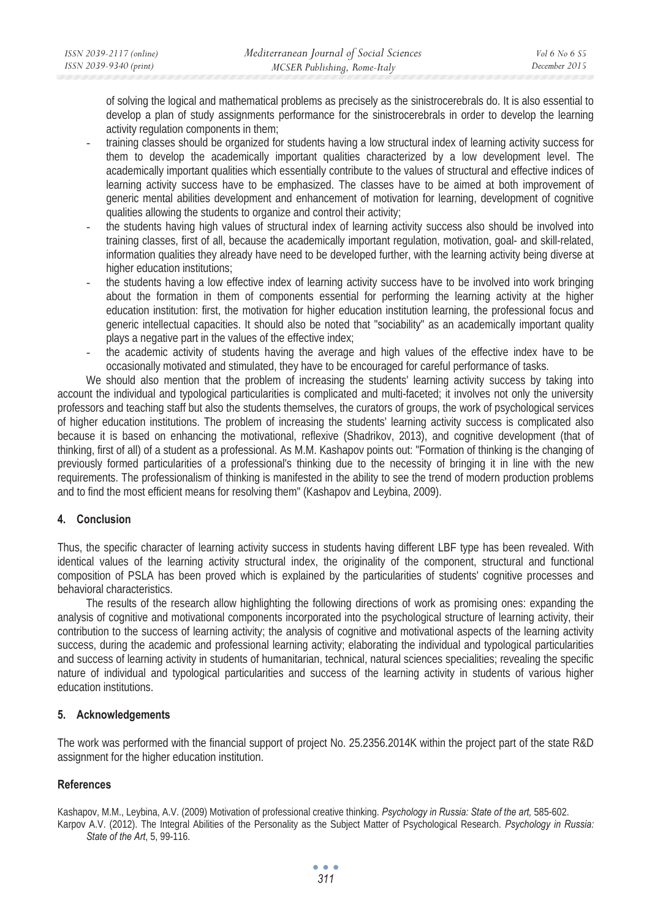of solving the logical and mathematical problems as precisely as the sinistrocerebrals do. It is also essential to develop a plan of study assignments performance for the sinistrocerebrals in order to develop the learning activity regulation components in them;

- training classes should be organized for students having a low structural index of learning activity success for them to develop the academically important qualities characterized by a low development level. The academically important qualities which essentially contribute to the values of structural and effective indices of learning activity success have to be emphasized. The classes have to be aimed at both improvement of generic mental abilities development and enhancement of motivation for learning, development of cognitive qualities allowing the students to organize and control their activity;
- the students having high values of structural index of learning activity success also should be involved into training classes, first of all, because the academically important regulation, motivation, goal- and skill-related, information qualities they already have need to be developed further, with the learning activity being diverse at higher education institutions:
- the students having a low effective index of learning activity success have to be involved into work bringing about the formation in them of components essential for performing the learning activity at the higher education institution: first, the motivation for higher education institution learning, the professional focus and generic intellectual capacities. It should also be noted that "sociability" as an academically important quality plays a negative part in the values of the effective index;
- the academic activity of students having the average and high values of the effective index have to be occasionally motivated and stimulated, they have to be encouraged for careful performance of tasks.

We should also mention that the problem of increasing the students' learning activity success by taking into account the individual and typological particularities is complicated and multi-faceted; it involves not only the university professors and teaching staff but also the students themselves, the curators of groups, the work of psychological services of higher education institutions. The problem of increasing the students' learning activity success is complicated also because it is based on enhancing the motivational, reflexive (Shadrikov, 2013), and cognitive development (that of thinking, first of all) of a student as a professional. As M.M. Kashapov points out: "Formation of thinking is the changing of previously formed particularities of a professional's thinking due to the necessity of bringing it in line with the new requirements. The professionalism of thinking is manifested in the ability to see the trend of modern production problems and to find the most efficient means for resolving them" (Kashapov and Leybina, 2009).

#### **4. Conclusion**

Thus, the specific character of learning activity success in students having different LBF type has been revealed. With identical values of the learning activity structural index, the originality of the component, structural and functional composition of PSLA has been proved which is explained by the particularities of students' cognitive processes and behavioral characteristics.

The results of the research allow highlighting the following directions of work as promising ones: expanding the analysis of cognitive and motivational components incorporated into the psychological structure of learning activity, their contribution to the success of learning activity; the analysis of cognitive and motivational aspects of the learning activity success, during the academic and professional learning activity; elaborating the individual and typological particularities and success of learning activity in students of humanitarian, technical, natural sciences specialities; revealing the specific nature of individual and typological particularities and success of the learning activity in students of various higher education institutions.

#### **5. Acknowledgements**

The work was performed with the financial support of project No. 25.2356.2014K within the project part of the state R&D assignment for the higher education institution.

#### **References**

Kashapov, M.M., Leybina, A.V. (2009) Motivation of professional creative thinking. *Psychology in Russia: State of the art,* 585-602. Karpov A.V. (2012). The Integral Abilities of the Personality as the Subject Matter of Psychological Research. *Psychology in Russia: State of the Art*, 5, 99-116.